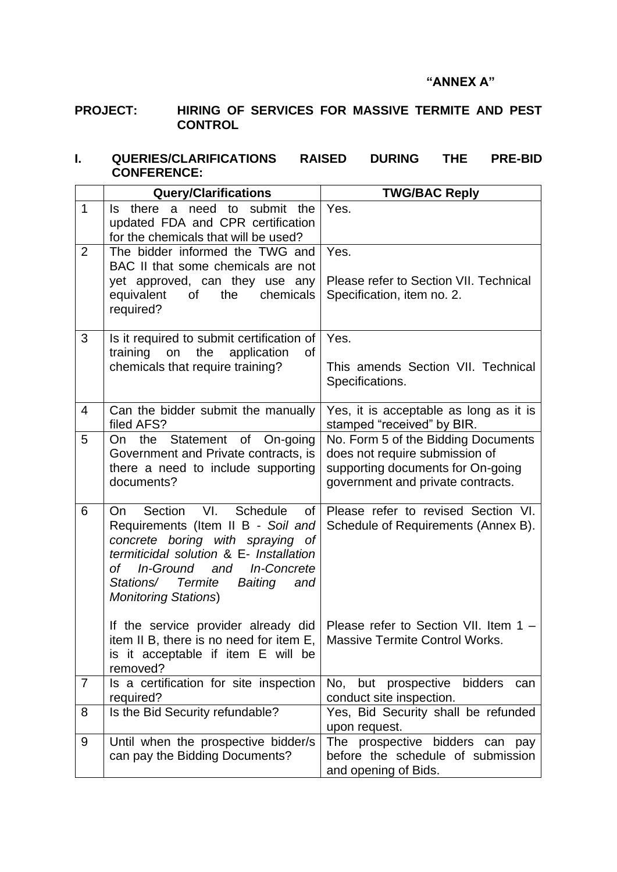#### **"ANNEX A"**

## **PROJECT: HIRING OF SERVICES FOR MASSIVE TERMITE AND PEST CONTROL**

### **I. QUERIES/CLARIFICATIONS RAISED DURING THE PRE-BID CONFERENCE:**

|                | <b>Query/Clarifications</b>                                                                                                                                                                                                                                                          | <b>TWG/BAC Reply</b>                                                                                                                            |  |  |
|----------------|--------------------------------------------------------------------------------------------------------------------------------------------------------------------------------------------------------------------------------------------------------------------------------------|-------------------------------------------------------------------------------------------------------------------------------------------------|--|--|
| $\mathbf 1$    | there a need to submit<br>the<br>Is.<br>updated FDA and CPR certification<br>for the chemicals that will be used?                                                                                                                                                                    | Yes.                                                                                                                                            |  |  |
| $\overline{2}$ | The bidder informed the TWG and<br>BAC II that some chemicals are not<br>yet approved, can they use any<br>the<br>chemicals<br>equivalent<br>of<br>required?                                                                                                                         | Yes.<br>Please refer to Section VII. Technical<br>Specification, item no. 2.                                                                    |  |  |
| 3              | Is it required to submit certification of<br>training<br>the<br>on<br>application<br><b>of</b><br>chemicals that require training?                                                                                                                                                   | Yes.<br>This amends Section VII. Technical<br>Specifications.                                                                                   |  |  |
| 4              | Can the bidder submit the manually<br>filed AFS?                                                                                                                                                                                                                                     | Yes, it is acceptable as long as it is<br>stamped "received" by BIR.                                                                            |  |  |
| 5              | On the Statement of On-going<br>Government and Private contracts, is<br>there a need to include supporting<br>documents?                                                                                                                                                             | No. Form 5 of the Bidding Documents<br>does not require submission of<br>supporting documents for On-going<br>government and private contracts. |  |  |
| 6              | VI.<br>Schedule<br>Section<br>On.<br>0f<br>Requirements (Item II B - Soil and<br>concrete boring with spraying of<br>termiticidal solution & E- Installation<br>of _<br>In-Ground<br>and In-Concrete<br>Stations/<br><b>Termite</b><br>Baiting<br>and<br><b>Monitoring Stations)</b> | Please refer to revised Section VI.<br>Schedule of Requirements (Annex B).                                                                      |  |  |
|                | If the service provider already did<br>item II B, there is no need for item E,<br>is it acceptable if item E will be<br>removed?                                                                                                                                                     | Please refer to Section VII. Item 1 -<br><b>Massive Termite Control Works.</b>                                                                  |  |  |
| $\overline{7}$ | Is a certification for site inspection<br>required?                                                                                                                                                                                                                                  | but prospective<br>bidders<br>No.<br>can<br>conduct site inspection.                                                                            |  |  |
| 8              | Is the Bid Security refundable?                                                                                                                                                                                                                                                      | Yes, Bid Security shall be refunded<br>upon request.                                                                                            |  |  |
| 9              | Until when the prospective bidder/s<br>can pay the Bidding Documents?                                                                                                                                                                                                                | The prospective bidders can pay<br>before the schedule of submission<br>and opening of Bids.                                                    |  |  |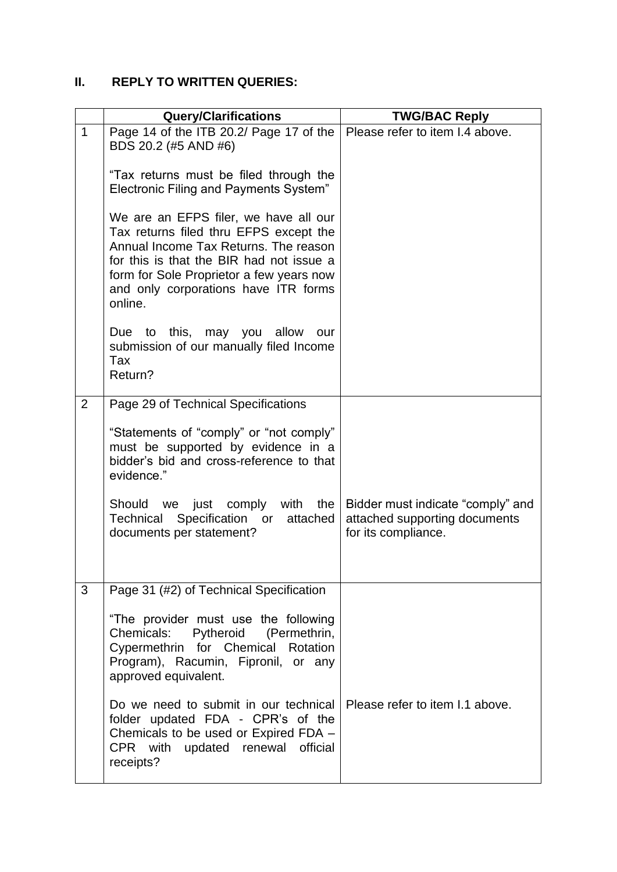## **II. REPLY TO WRITTEN QUERIES:**

|                | <b>Query/Clarifications</b>                                                                                                                                                                                                                                         | <b>TWG/BAC Reply</b>                                                                      |
|----------------|---------------------------------------------------------------------------------------------------------------------------------------------------------------------------------------------------------------------------------------------------------------------|-------------------------------------------------------------------------------------------|
|                |                                                                                                                                                                                                                                                                     |                                                                                           |
| $\mathbf{1}$   | Page 14 of the ITB 20.2/ Page 17 of the<br>BDS 20.2 (#5 AND #6)                                                                                                                                                                                                     | Please refer to item I.4 above.                                                           |
|                | "Tax returns must be filed through the<br>Electronic Filing and Payments System"                                                                                                                                                                                    |                                                                                           |
|                | We are an EFPS filer, we have all our<br>Tax returns filed thru EFPS except the<br>Annual Income Tax Returns. The reason<br>for this is that the BIR had not issue a<br>form for Sole Proprietor a few years now<br>and only corporations have ITR forms<br>online. |                                                                                           |
|                | Due to this, may you allow<br>our<br>submission of our manually filed Income<br>Tax<br>Return?                                                                                                                                                                      |                                                                                           |
| $\overline{2}$ | Page 29 of Technical Specifications                                                                                                                                                                                                                                 |                                                                                           |
|                | "Statements of "comply" or "not comply"<br>must be supported by evidence in a<br>bidder's bid and cross-reference to that<br>evidence."                                                                                                                             |                                                                                           |
|                | comply with the<br>Should we just<br>Technical Specification or attached<br>documents per statement?                                                                                                                                                                | Bidder must indicate "comply" and<br>attached supporting documents<br>for its compliance. |
| 3              | Page 31 (#2) of Technical Specification                                                                                                                                                                                                                             |                                                                                           |
|                | "The provider must use the following<br>Pytheroid (Permethrin,<br>Chemicals:<br>Cypermethrin for Chemical Rotation<br>Program), Racumin, Fipronil, or any<br>approved equivalent.                                                                                   |                                                                                           |
|                | Do we need to submit in our technical<br>folder updated FDA - CPR's of the<br>Chemicals to be used or Expired FDA -<br>CPR with updated renewal official<br>receipts?                                                                                               | Please refer to item I.1 above.                                                           |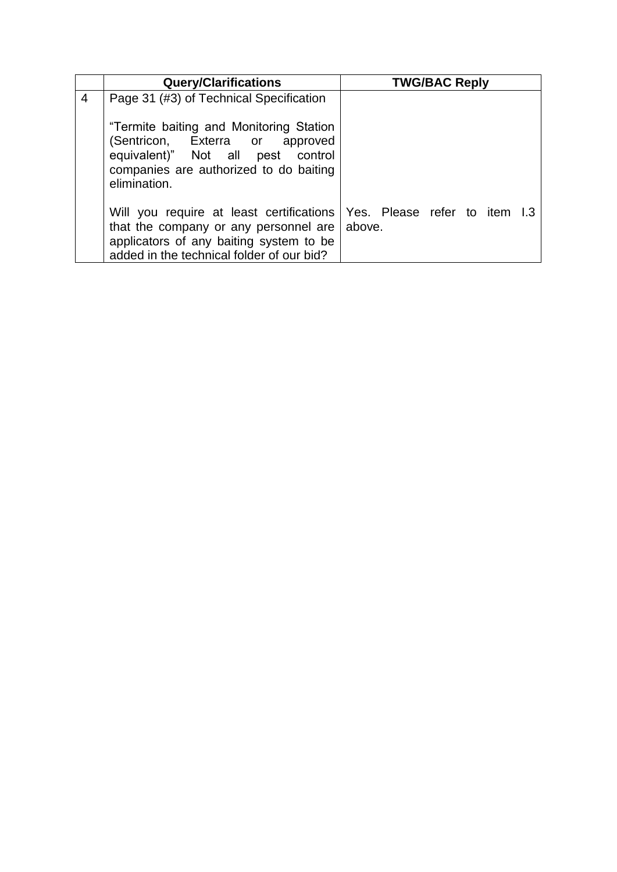|   | <b>Query/Clarifications</b>                                                                                                                                                                               | <b>TWG/BAC Reply</b> |  |  |  |
|---|-----------------------------------------------------------------------------------------------------------------------------------------------------------------------------------------------------------|----------------------|--|--|--|
| 4 | Page 31 (#3) of Technical Specification                                                                                                                                                                   |                      |  |  |  |
|   | "Termite baiting and Monitoring Station<br>(Sentricon, Exterra or<br>approved<br>equivalent)" Not all pest control<br>companies are authorized to do baiting<br>elimination.                              |                      |  |  |  |
|   | Will you require at least certifications   Yes. Please refer to item I.3<br>that the company or any personnel are<br>applicators of any baiting system to be<br>added in the technical folder of our bid? | above.               |  |  |  |